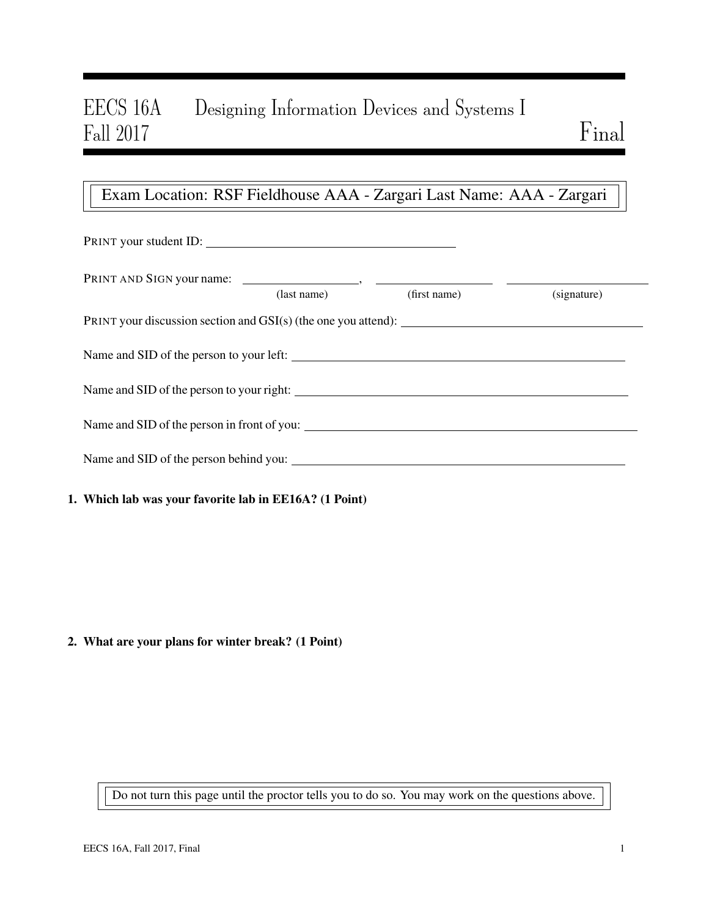# EECS 16A Designing Information Devices and Systems I Fall 2017 Fall 2017 Final

# Exam Location: RSF Fieldhouse AAA - Zargari Last Name: AAA - Zargari

| PRINT your student ID:                                           |             |              |             |  |  |
|------------------------------------------------------------------|-------------|--------------|-------------|--|--|
|                                                                  | (last name) | (first name) | (signature) |  |  |
| PRINT your discussion section and $GSI(s)$ (the one you attend): |             |              |             |  |  |
|                                                                  |             |              |             |  |  |
| Name and SID of the person to your right:                        |             |              |             |  |  |
| Name and SID of the person in front of you:                      |             |              |             |  |  |
| Name and SID of the person behind you:                           |             |              |             |  |  |
|                                                                  |             |              |             |  |  |

## 1. Which lab was your favorite lab in EE16A? (1 Point)

### 2. What are your plans for winter break? (1 Point)

Do not turn this page until the proctor tells you to do so. You may work on the questions above.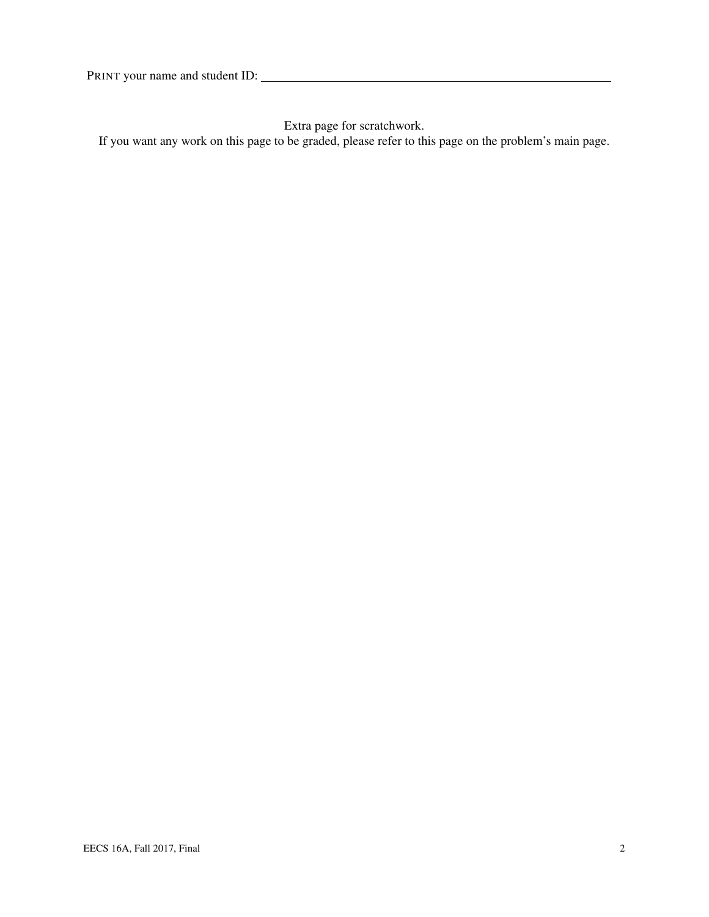Extra page for scratchwork.

If you want any work on this page to be graded, please refer to this page on the problem's main page.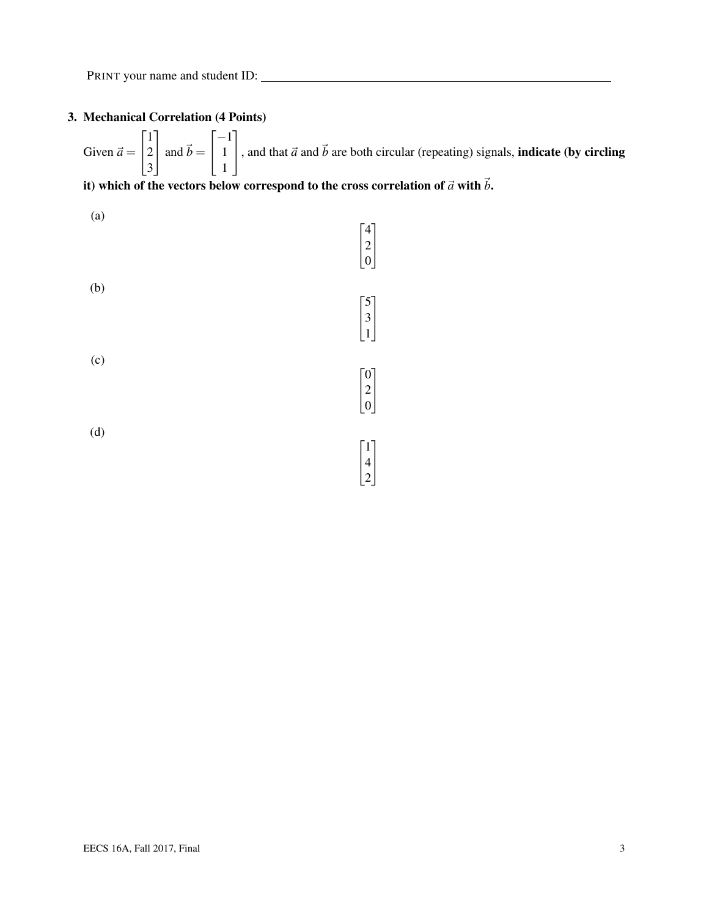# 3. Mechanical Correlation (4 Points)

Given  $\vec{a} =$  $\sqrt{ }$  $\overline{1}$ 1 2 3 1  $\int$  and  $\vec{b}$  =  $\sqrt{ }$  $\overline{1}$ −1 1 1 1 , and that  $\vec{a}$  and  $\vec{b}$  are both circular (repeating) signals, **indicate (by circling**)

# it) which of the vectors below correspond to the cross correlation of  $\vec{a}$  with  $\vec{b}$ .

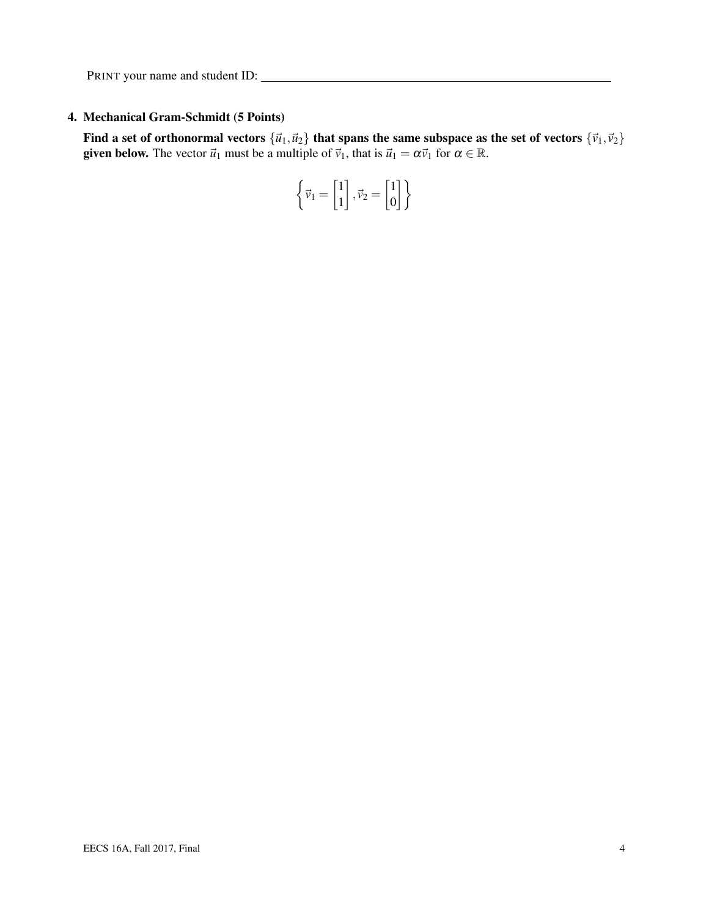## 4. Mechanical Gram-Schmidt (5 Points)

Find a set of orthonormal vectors  ${\vec{u}_1,\vec{u}_2}$  that spans the same subspace as the set of vectors  ${\vec{v}_1,\vec{v}_2}$ **given below.** The vector  $\vec{u}_1$  must be a multiple of  $\vec{v}_1$ , that is  $\vec{u}_1 = \alpha \vec{v}_1$  for  $\alpha \in \mathbb{R}$ .

$$
\left\{\vec{\nu}_1 = \begin{bmatrix}1\\1\end{bmatrix}, \vec{\nu}_2 = \begin{bmatrix}1\\0\end{bmatrix}\right\}
$$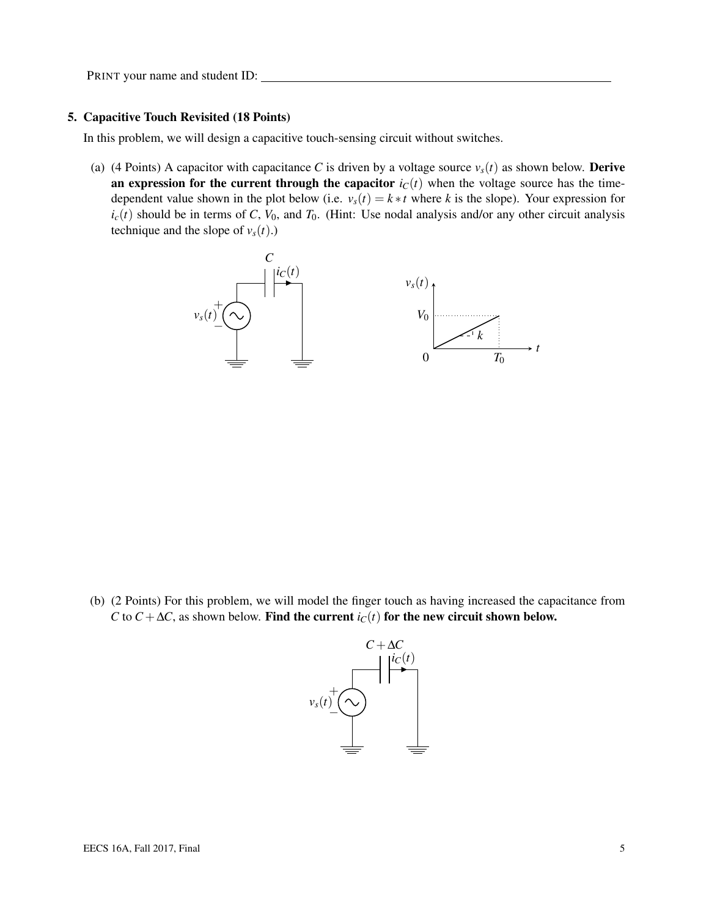#### 5. Capacitive Touch Revisited (18 Points)

In this problem, we will design a capacitive touch-sensing circuit without switches.

(a) (4 Points) A capacitor with capacitance *C* is driven by a voltage source  $v_s(t)$  as shown below. **Derive** an expression for the current through the capacitor  $i<sub>C</sub>(t)$  when the voltage source has the timedependent value shown in the plot below (i.e.  $v_s(t) = k * t$  where *k* is the slope). Your expression for  $i_c(t)$  should be in terms of *C*,  $V_0$ , and  $T_0$ . (Hint: Use nodal analysis and/or any other circuit analysis technique and the slope of  $v_s(t)$ .)



(b) (2 Points) For this problem, we will model the finger touch as having increased the capacitance from *C* to *C* +  $\Delta$ *C*, as shown below. Find the current *i<sub>C</sub>*(*t*) for the new circuit shown below.

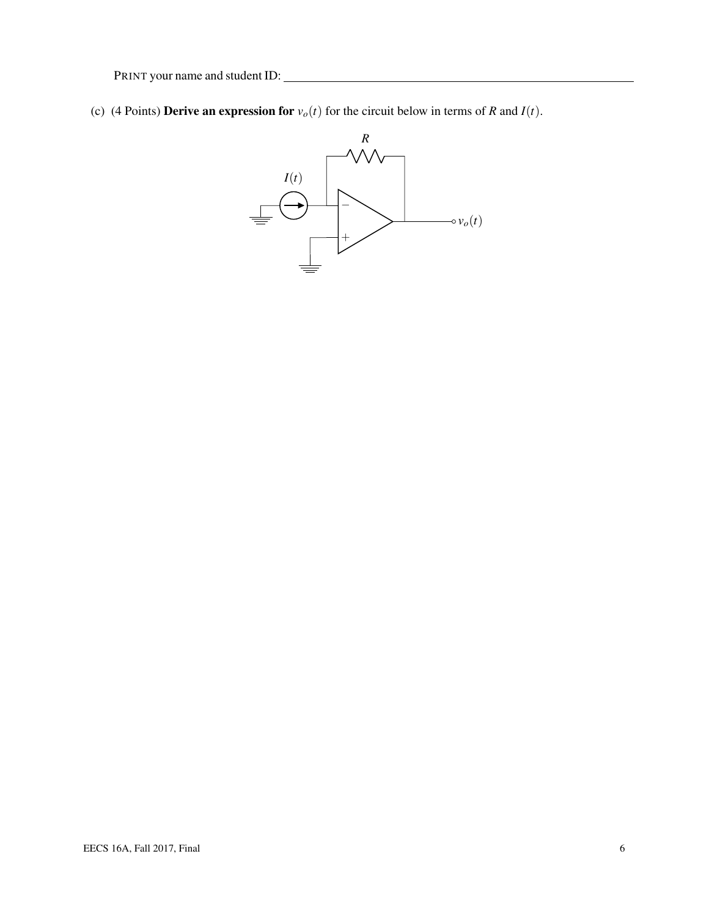(c) (4 Points) **Derive an expression for**  $v_o(t)$  for the circuit below in terms of *R* and *I*(*t*).

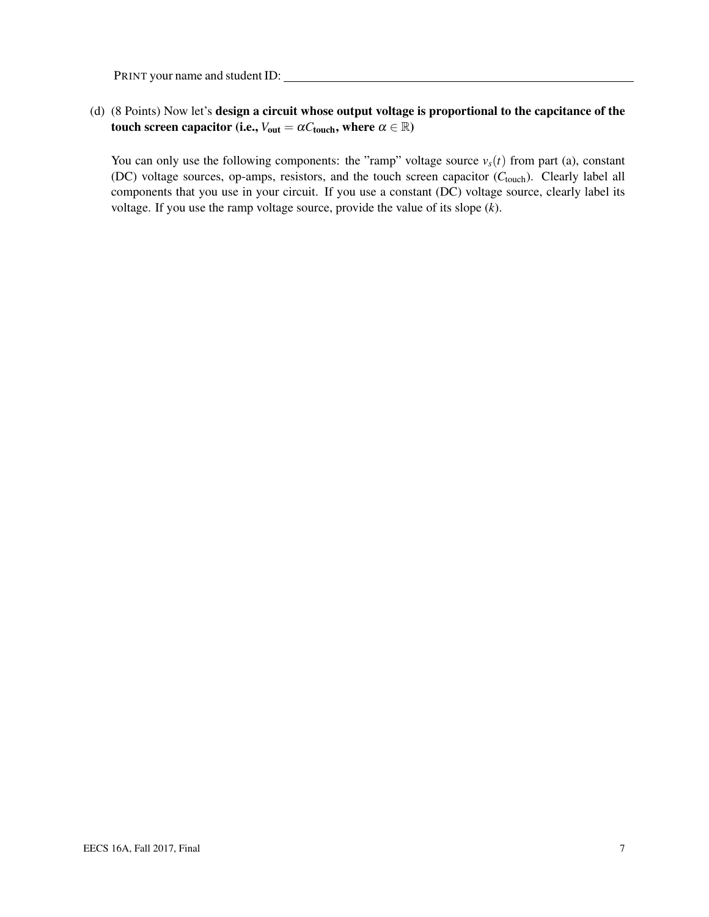### (d) (8 Points) Now let's design a circuit whose output voltage is proportional to the capcitance of the touch screen capacitor (i.e.,  $V_{\text{out}} = \alpha C_{\text{touch}}$ , where  $\alpha \in \mathbb{R}$ )

You can only use the following components: the "ramp" voltage source  $v_s(t)$  from part (a), constant (DC) voltage sources, op-amps, resistors, and the touch screen capacitor (C<sub>touch</sub>). Clearly label all components that you use in your circuit. If you use a constant (DC) voltage source, clearly label its voltage. If you use the ramp voltage source, provide the value of its slope (*k*).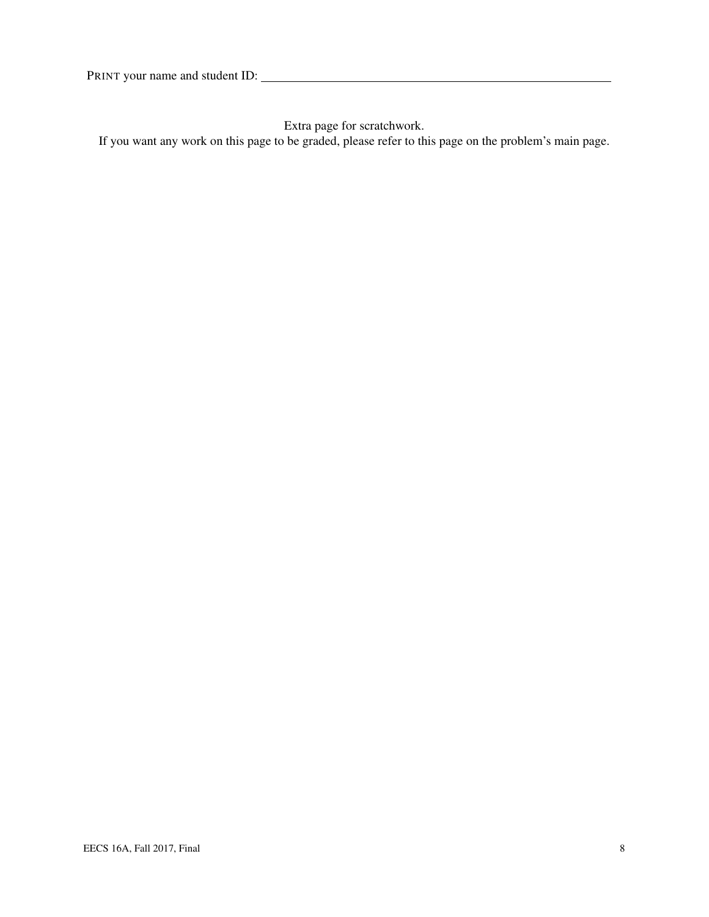Extra page for scratchwork.

If you want any work on this page to be graded, please refer to this page on the problem's main page.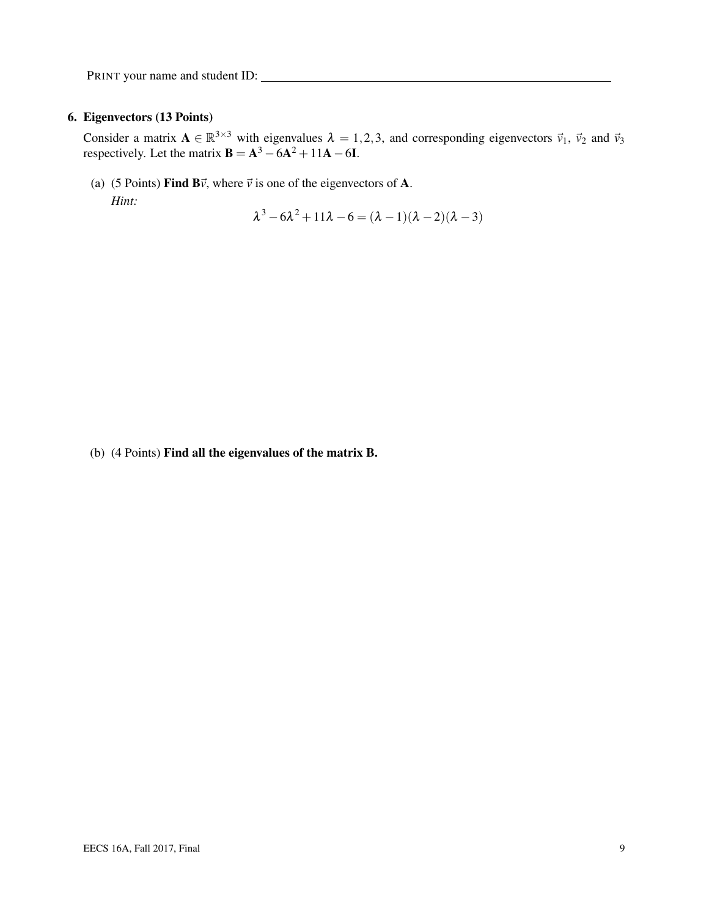#### 6. Eigenvectors (13 Points)

Consider a matrix  $\mathbf{A} \in \mathbb{R}^{3 \times 3}$  with eigenvalues  $\lambda = 1, 2, 3$ , and corresponding eigenvectors  $\vec{v}_1$ ,  $\vec{v}_2$  and  $\vec{v}_3$ respectively. Let the matrix  $\mathbf{B} = \mathbf{A}^3 - 6\mathbf{A}^2 + 11\mathbf{A} - 6\mathbf{I}$ .

(a) (5 Points) Find  $B\vec{v}$ , where  $\vec{v}$  is one of the eigenvectors of A. *Hint:*

 $\lambda^3 - 6\lambda^2 + 11\lambda - 6 = (\lambda - 1)(\lambda - 2)(\lambda - 3)$ 

(b) (4 Points) Find all the eigenvalues of the matrix B.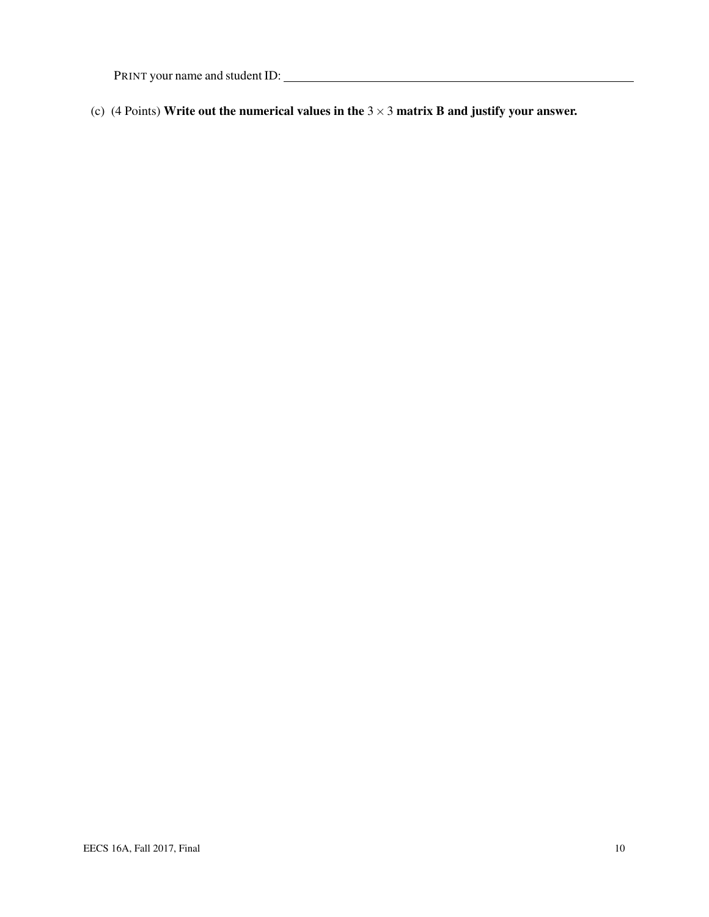(c) (4 Points) Write out the numerical values in the  $3 \times 3$  matrix B and justify your answer.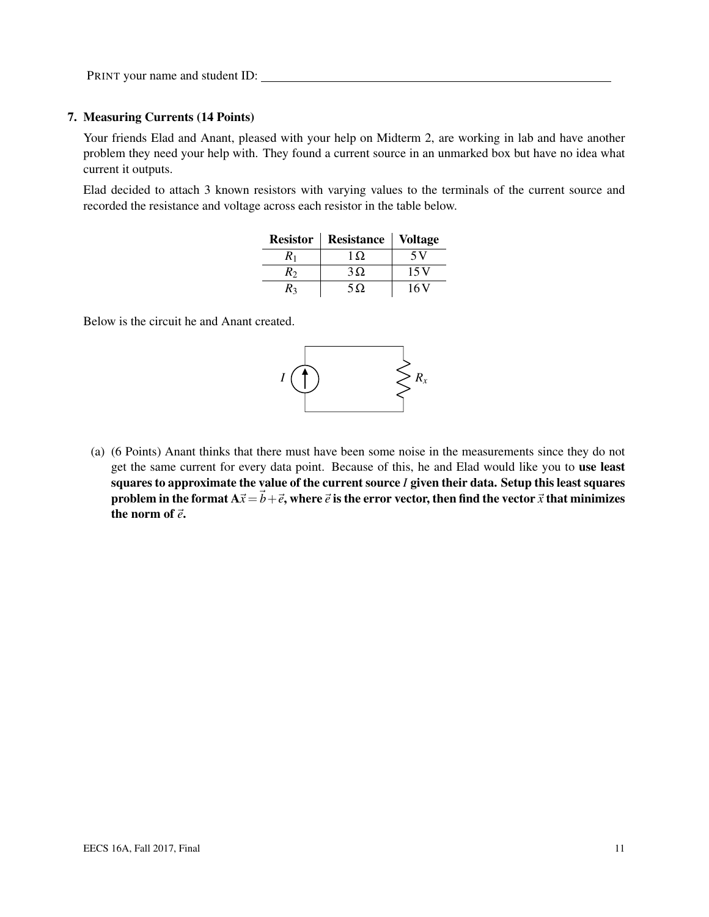#### 7. Measuring Currents (14 Points)

Your friends Elad and Anant, pleased with your help on Midterm 2, are working in lab and have another problem they need your help with. They found a current source in an unmarked box but have no idea what current it outputs.

Elad decided to attach 3 known resistors with varying values to the terminals of the current source and recorded the resistance and voltage across each resistor in the table below.

| <b>Resistor</b> | Resistance | <b>Voltage</b> |  |  |
|-----------------|------------|----------------|--|--|
| $R_1$           | 1 O.       | 5 V            |  |  |
| $R_2$           | $3\Omega$  | 15V            |  |  |
| R٦              | $5\Omega$  | 16 V           |  |  |

Below is the circuit he and Anant created.



(a) (6 Points) Anant thinks that there must have been some noise in the measurements since they do not get the same current for every data point. Because of this, he and Elad would like you to use least squares to approximate the value of the current source *I* given their data. Setup this least squares problem in the format  $A\vec{x} = \vec{b} + \vec{e}$ , where  $\vec{e}$  is the error vector, then find the vector  $\vec{x}$  that minimizes the norm of  $\vec{e}$ .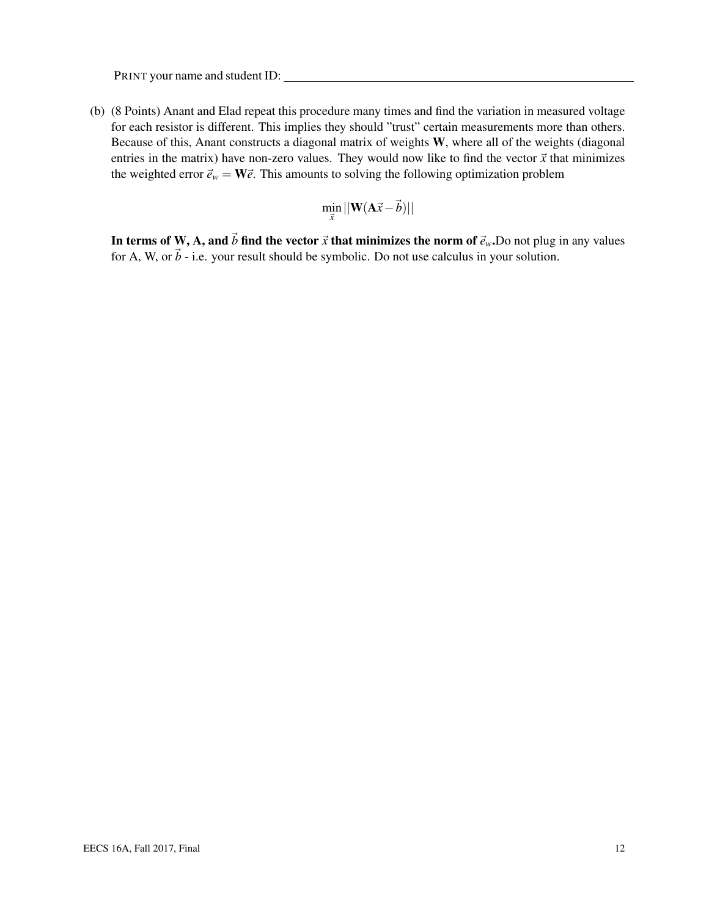(b) (8 Points) Anant and Elad repeat this procedure many times and find the variation in measured voltage for each resistor is different. This implies they should "trust" certain measurements more than others. Because of this, Anant constructs a diagonal matrix of weights W, where all of the weights (diagonal entries in the matrix) have non-zero values. They would now like to find the vector  $\vec{x}$  that minimizes the weighted error  $\vec{e}_w = \mathbf{W}\vec{e}$ . This amounts to solving the following optimization problem

$$
\min_{\vec{x}}||\mathbf{W}(\mathbf{A}\vec{x}-\vec{b})||
$$

In terms of W, A, and  $\vec{b}$  find the vector  $\vec{x}$  that minimizes the norm of  $\vec{e}_w$ . Do not plug in any values for A, W, or  $\vec{b}$  - i.e. your result should be symbolic. Do not use calculus in your solution.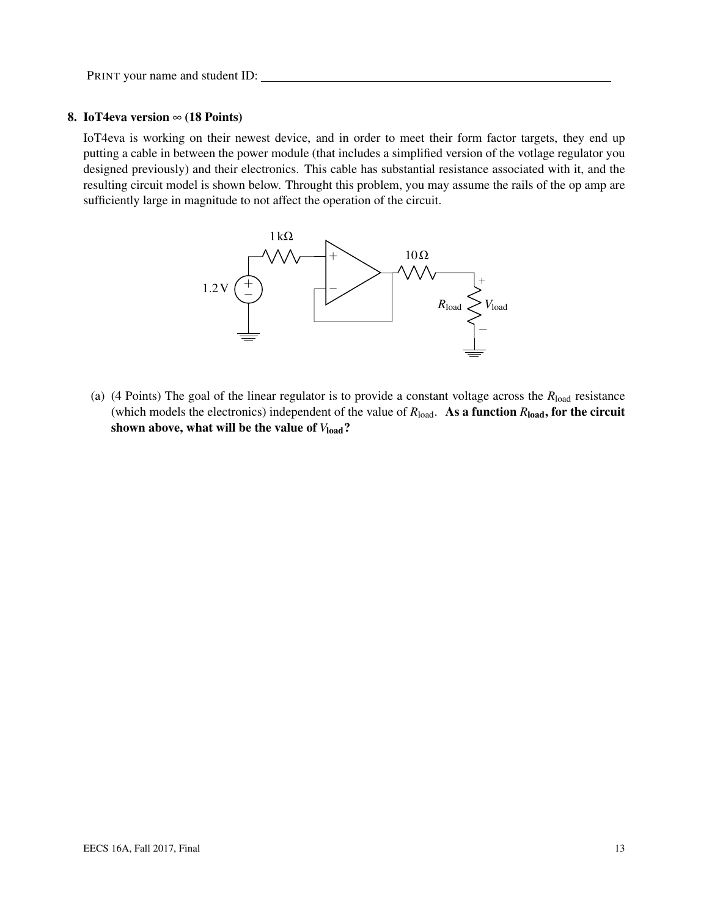#### 8. IoT4eva version  $\infty$  (18 Points)

IoT4eva is working on their newest device, and in order to meet their form factor targets, they end up putting a cable in between the power module (that includes a simplified version of the votlage regulator you designed previously) and their electronics. This cable has substantial resistance associated with it, and the resulting circuit model is shown below. Throught this problem, you may assume the rails of the op amp are sufficiently large in magnitude to not affect the operation of the circuit.



(a) (4 Points) The goal of the linear regulator is to provide a constant voltage across the *R*load resistance (which models the electronics) independent of the value of  $R_{load}$ . As a function  $R_{load}$ , for the circuit shown above, what will be the value of  $V_{load}$ ?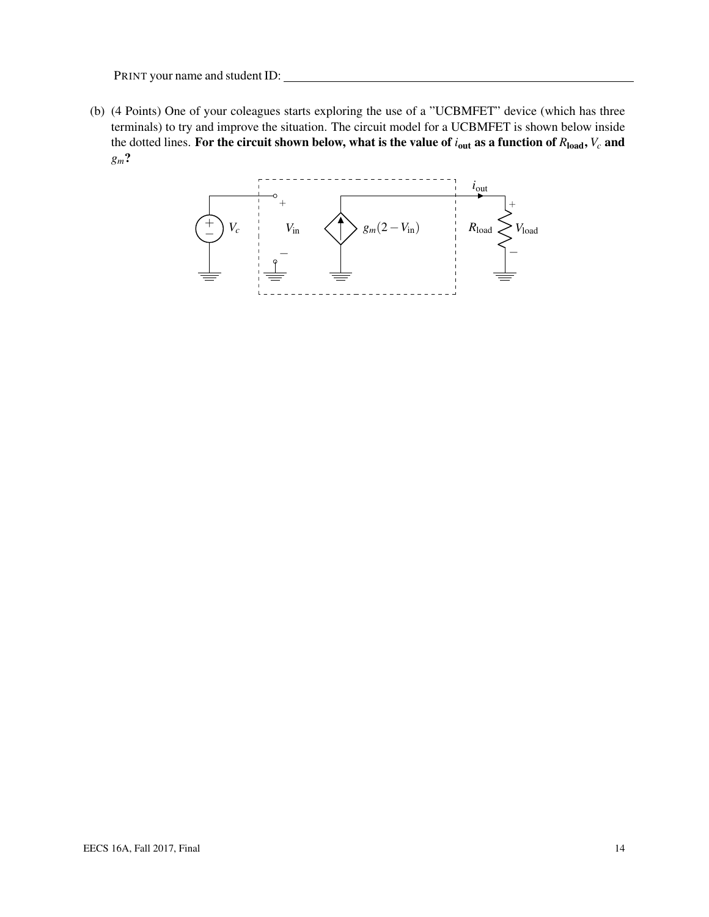(b) (4 Points) One of your coleagues starts exploring the use of a "UCBMFET" device (which has three terminals) to try and improve the situation. The circuit model for a UCBMFET is shown below inside the dotted lines. For the circuit shown below, what is the value of *i*out as a function of *R*load, *V<sup>c</sup>* and *gm*?

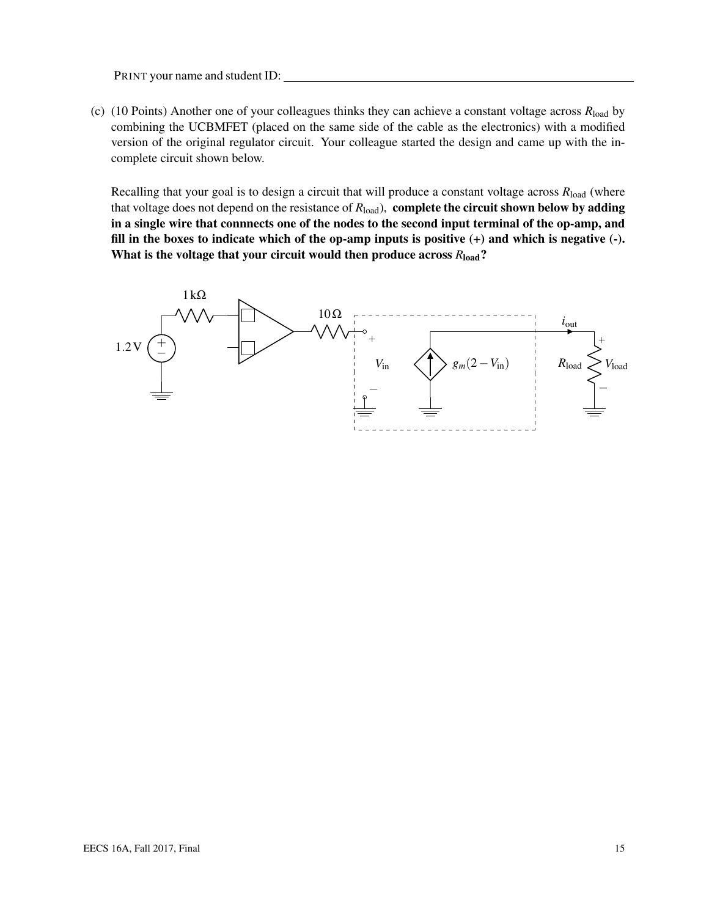(c) (10 Points) Another one of your colleagues thinks they can achieve a constant voltage across *R*load by combining the UCBMFET (placed on the same side of the cable as the electronics) with a modified version of the original regulator circuit. Your colleague started the design and came up with the incomplete circuit shown below.

Recalling that your goal is to design a circuit that will produce a constant voltage across  $R_{load}$  (where that voltage does not depend on the resistance of  $R_{load}$ ), complete the circuit shown below by adding in a single wire that connnects one of the nodes to the second input terminal of the op-amp, and fill in the boxes to indicate which of the op-amp inputs is positive  $(+)$  and which is negative  $(-)$ . What is the voltage that your circuit would then produce across  $R_{load}$ ?

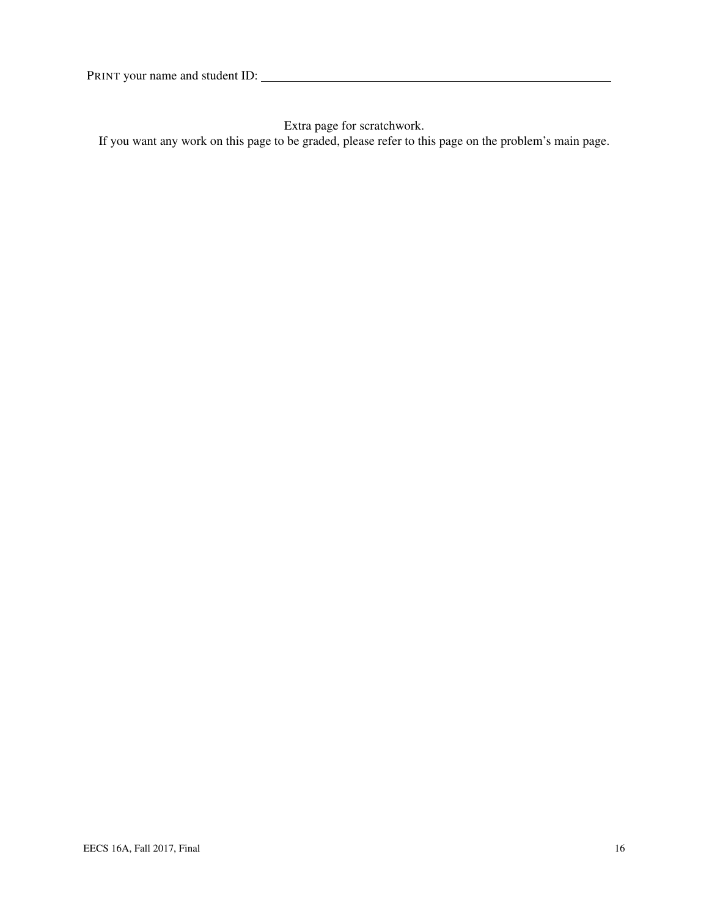Extra page for scratchwork.

If you want any work on this page to be graded, please refer to this page on the problem's main page.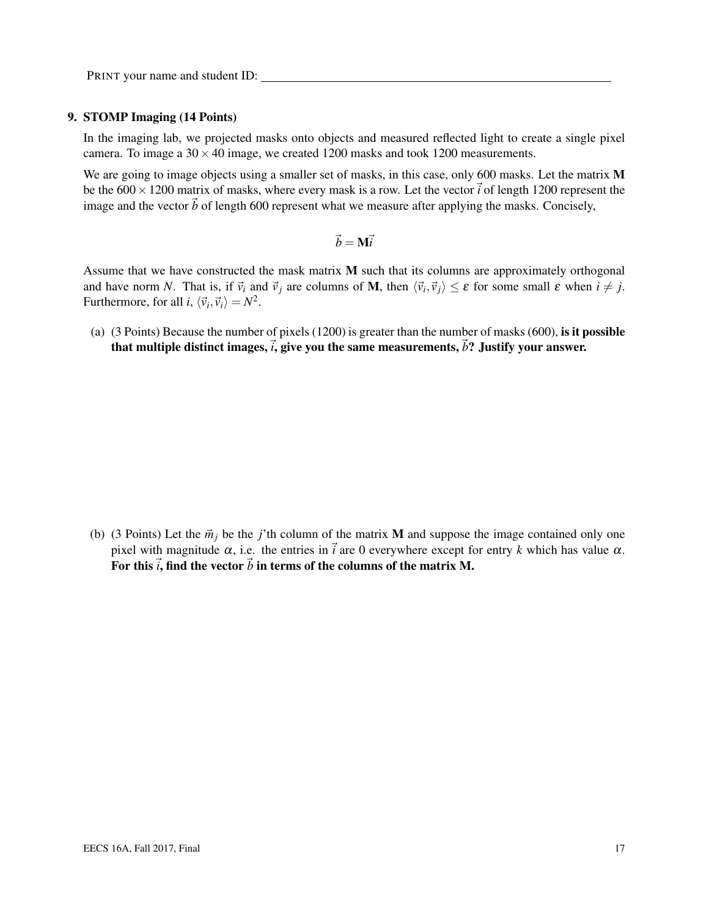#### 9. STOMP Imaging (14 Points)

In the imaging lab, we projected masks onto objects and measured reflected light to create a single pixel camera. To image a  $30 \times 40$  image, we created 1200 masks and took 1200 measurements.

We are going to image objects using a smaller set of masks, in this case, only 600 masks. Let the matrix M be the  $600 \times 1200$  matrix of masks, where every mask is a row. Let the vector  $\vec{i}$  of length 1200 represent the image and the vector  $\vec{b}$  of length 600 represent what we measure after applying the masks. Concisely,

$$
\vec{b} = \mathbf{M}\vec{i}
$$

Assume that we have constructed the mask matrix  $M$  such that its columns are approximately orthogonal and have norm *N*. That is, if  $\vec{v}_i$  and  $\vec{v}_j$  are columns of **M**, then  $\langle \vec{v}_i, \vec{v}_j \rangle \le \varepsilon$  for some small  $\varepsilon$  when  $i \ne j$ . Furthermore, for all *i*,  $\langle \vec{v}_i, \vec{v}_i \rangle = N^2$ .

(a) (3 Points) Because the number of pixels (1200) is greater than the number of masks (600), is it possible that multiple distinct images,  $\vec{i}$ , give you the same measurements,  $\vec{b}$ ? Justify your answer.

(b) (3 Points) Let the  $\vec{m}_j$  be the *j*'th column of the matrix **M** and suppose the image contained only one pixel with magnitude  $\alpha$ , i.e. the entries in  $\vec{i}$  are 0 everywhere except for entry *k* which has value  $\alpha$ . For this  $\vec{i}$ , find the vector  $\vec{b}$  in terms of the columns of the matrix M.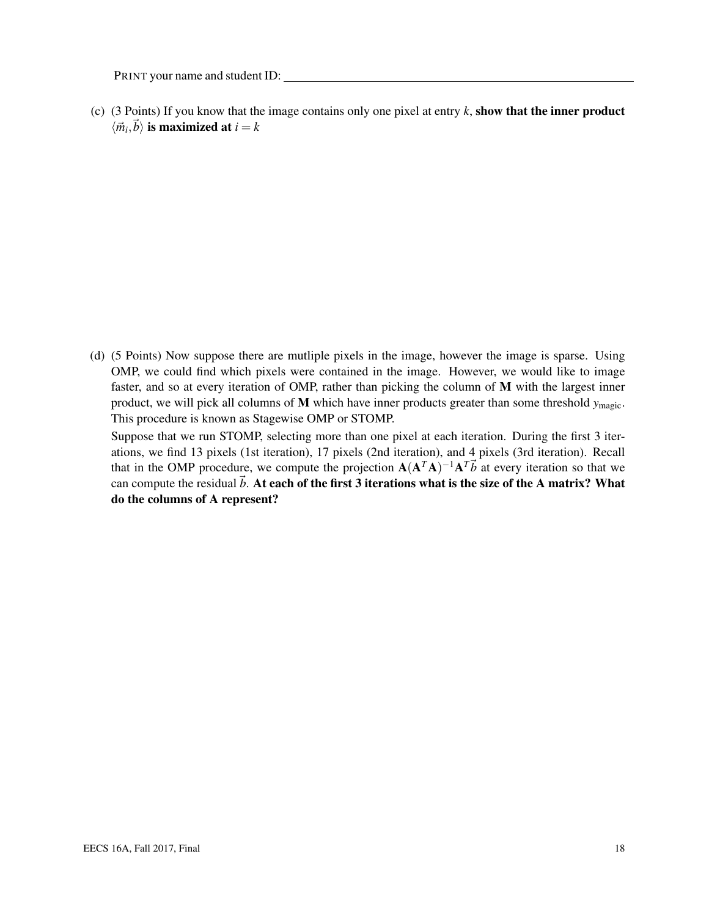(c) (3 Points) If you know that the image contains only one pixel at entry  $k$ , show that the inner product  $\langle \vec{m}_i, \vec{b} \rangle$  is maximized at  $i = k$ 

(d) (5 Points) Now suppose there are mutliple pixels in the image, however the image is sparse. Using OMP, we could find which pixels were contained in the image. However, we would like to image faster, and so at every iteration of OMP, rather than picking the column of M with the largest inner product, we will pick all columns of M which have inner products greater than some threshold  $y_{\text{magic}}$ . This procedure is known as Stagewise OMP or STOMP.

Suppose that we run STOMP, selecting more than one pixel at each iteration. During the first 3 iterations, we find 13 pixels (1st iteration), 17 pixels (2nd iteration), and 4 pixels (3rd iteration). Recall that in the OMP procedure, we compute the projection  $A(A^T A)^{-1} A^T \vec{b}$  at every iteration so that we can compute the residual  $\vec{b}$ . At each of the first 3 iterations what is the size of the A matrix? What do the columns of A represent?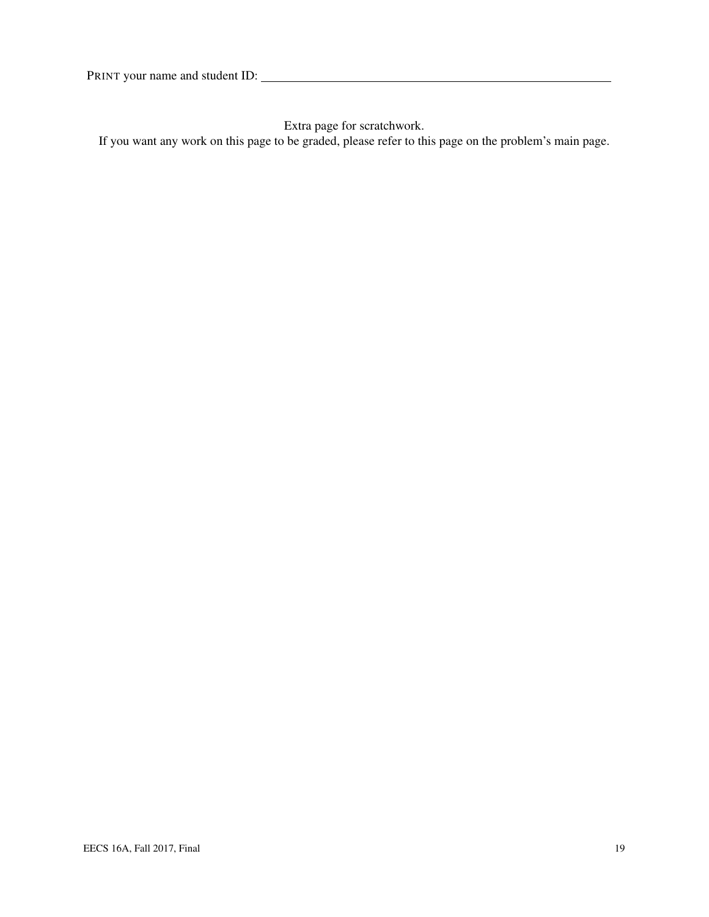Extra page for scratchwork.

If you want any work on this page to be graded, please refer to this page on the problem's main page.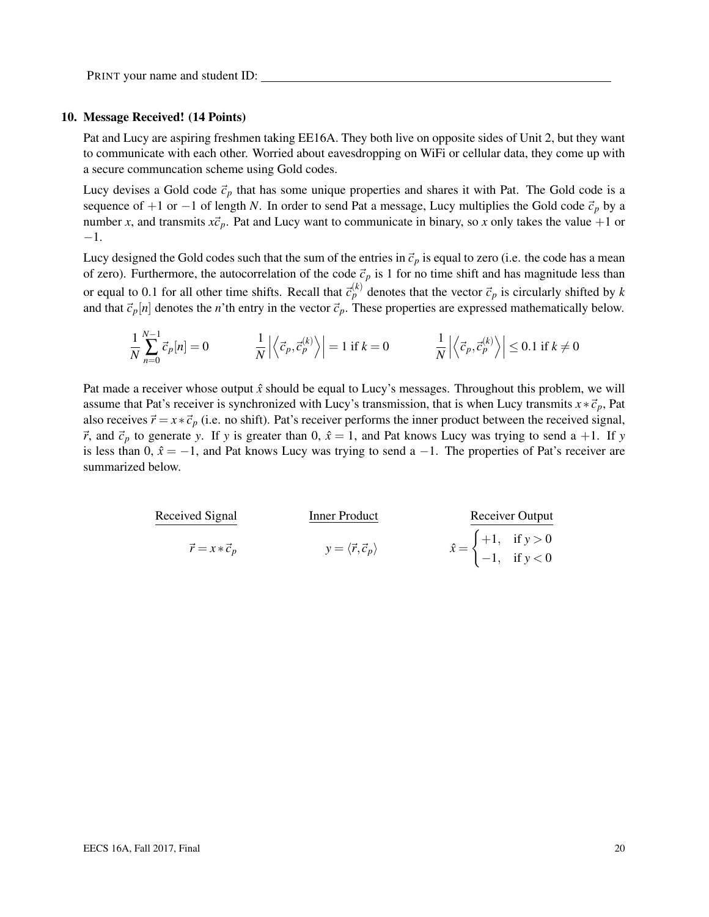#### 10. Message Received! (14 Points)

Pat and Lucy are aspiring freshmen taking EE16A. They both live on opposite sides of Unit 2, but they want to communicate with each other. Worried about eavesdropping on WiFi or cellular data, they come up with a secure communcation scheme using Gold codes.

Lucy devises a Gold code  $\vec{c}_p$  that has some unique properties and shares it with Pat. The Gold code is a sequence of +1 or −1 of length *N*. In order to send Pat a message, Lucy multiplies the Gold code  $\vec{c}_p$  by a number *x*, and transmits  $x\vec{c}_p$ . Pat and Lucy want to communicate in binary, so *x* only takes the value +1 or −1.

Lucy designed the Gold codes such that the sum of the entries in  $\vec{c}_p$  is equal to zero (i.e. the code has a mean of zero). Furthermore, the autocorrelation of the code  $\vec{c}_p$  is 1 for no time shift and has magnitude less than or equal to 0.1 for all other time shifts. Recall that  $\vec{c}_p^{(k)}$  denotes that the vector  $\vec{c}_p$  is circularly shifted by *k* and that  $\vec{c}_p[n]$  denotes the *n*'th entry in the vector  $\vec{c}_p$ . These properties are expressed mathematically below.

$$
\frac{1}{N} \sum_{n=0}^{N-1} \vec{c}_p[n] = 0 \qquad \qquad \frac{1}{N} \left| \left\langle \vec{c}_p, \vec{c}_p^{(k)} \right\rangle \right| = 1 \text{ if } k = 0 \qquad \qquad \frac{1}{N} \left| \left\langle \vec{c}_p, \vec{c}_p^{(k)} \right\rangle \right| \le 0.1 \text{ if } k \ne 0
$$

Pat made a receiver whose output  $\hat{x}$  should be equal to Lucy's messages. Throughout this problem, we will assume that Pat's receiver is synchronized with Lucy's transmission, that is when Lucy transmits  $x * \vec{c}_p$ , Pat also receives  $\vec{r} = x * \vec{c}_p$  (i.e. no shift). Pat's receiver performs the inner product between the received signal,  $\vec{r}$ , and  $\vec{c}_p$  to generate *y*. If *y* is greater than 0,  $\hat{x} = 1$ , and Pat knows Lucy was trying to send a +1. If *y* is less than 0,  $\hat{x} = -1$ , and Pat knows Lucy was trying to send a −1. The properties of Pat's receiver are summarized below.

| Received Signal           | Inner Product                            | Receiver Output                                                                        |  |  |
|---------------------------|------------------------------------------|----------------------------------------------------------------------------------------|--|--|
| $\vec{r} = x * \vec{c}_p$ | $y = \langle \vec{r}, \vec{c}_p \rangle$ | $\hat{x} = \begin{cases} +1, & \text{if } y > 0 \\ -1, & \text{if } y < 0 \end{cases}$ |  |  |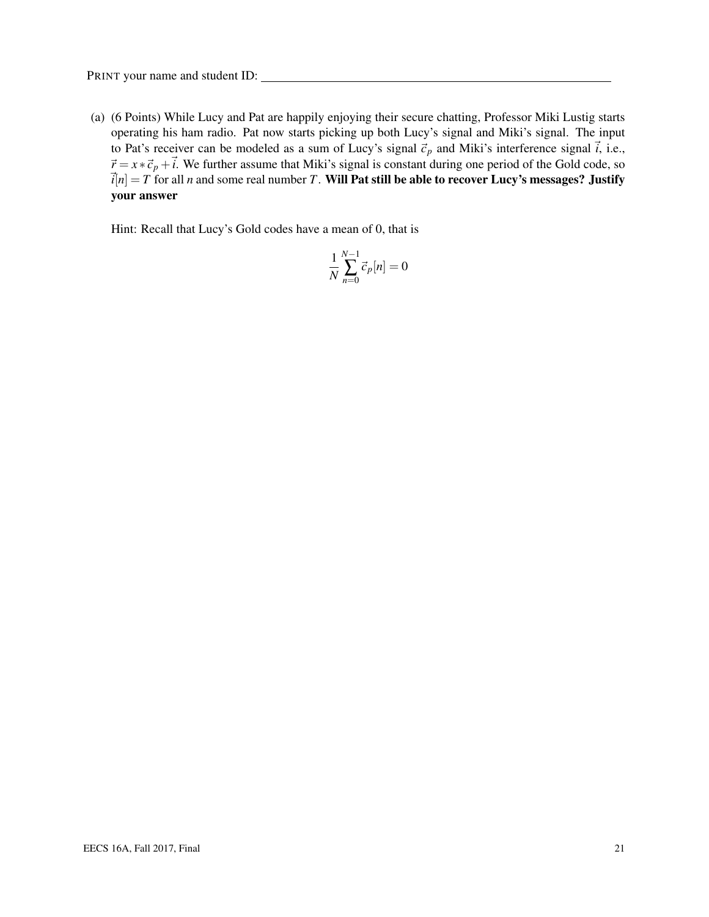(a) (6 Points) While Lucy and Pat are happily enjoying their secure chatting, Professor Miki Lustig starts operating his ham radio. Pat now starts picking up both Lucy's signal and Miki's signal. The input to Pat's receiver can be modeled as a sum of Lucy's signal  $\vec{c}_p$  and Miki's interference signal  $\vec{i}$ , i.e.,  $\vec{r} = x * \vec{c}_p + \vec{i}$ . We further assume that Miki's signal is constant during one period of the Gold code, so  $\vec{i}[n] = T$  for all *n* and some real number *T*. Will Pat still be able to recover Lucy's messages? Justify your answer

Hint: Recall that Lucy's Gold codes have a mean of 0, that is

$$
\frac{1}{N}\sum_{n=0}^{N-1} \vec{c}_p[n] = 0
$$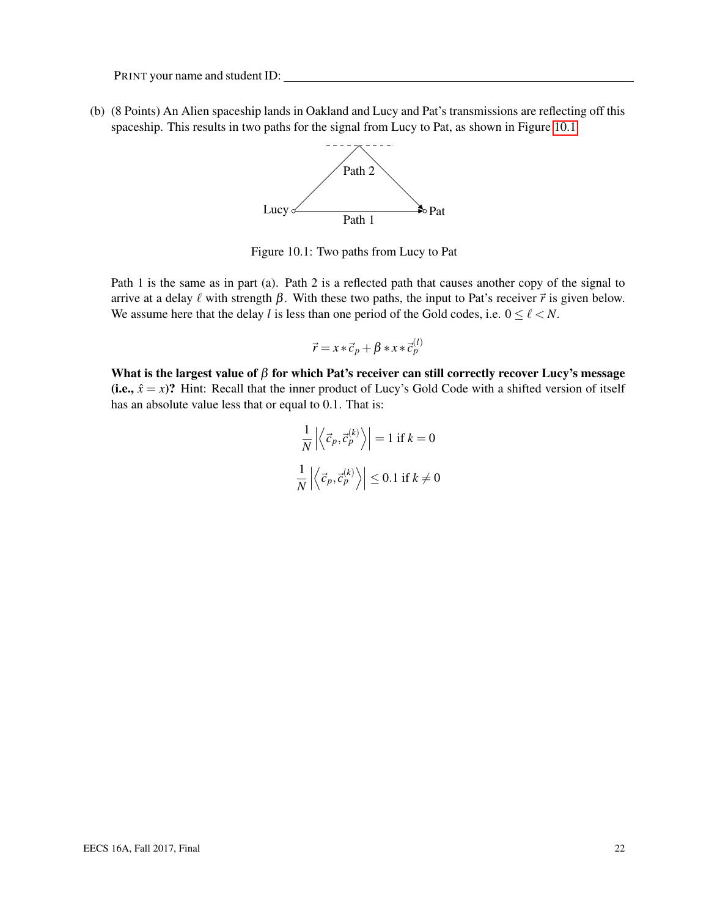(b) (8 Points) An Alien spaceship lands in Oakland and Lucy and Pat's transmissions are reflecting off this spaceship. This results in two paths for the signal from Lucy to Pat, as shown in Figure [10.1.](#page-21-0)



Figure 10.1: Two paths from Lucy to Pat

<span id="page-21-0"></span>Path 1 is the same as in part (a). Path 2 is a reflected path that causes another copy of the signal to arrive at a delay  $\ell$  with strength  $\beta$ . With these two paths, the input to Pat's receiver  $\vec{r}$  is given below. We assume here that the delay *l* is less than one period of the Gold codes, i.e.  $0 \le \ell \le N$ .

$$
\vec{r} = x * \vec{c}_p + \beta * x * \vec{c}_p^{(l)}
$$

What is the largest value of  $\beta$  for which Pat's receiver can still correctly recover Lucy's message (i.e.,  $\hat{x} = x$ )? Hint: Recall that the inner product of Lucy's Gold Code with a shifted version of itself has an absolute value less that or equal to 0.1. That is:

$$
\frac{1}{N} \left| \left\langle \vec{c}_p, \vec{c}_p^{(k)} \right\rangle \right| = 1 \text{ if } k = 0
$$
  

$$
\frac{1}{N} \left| \left\langle \vec{c}_p, \vec{c}_p^{(k)} \right\rangle \right| \le 0.1 \text{ if } k \neq 0
$$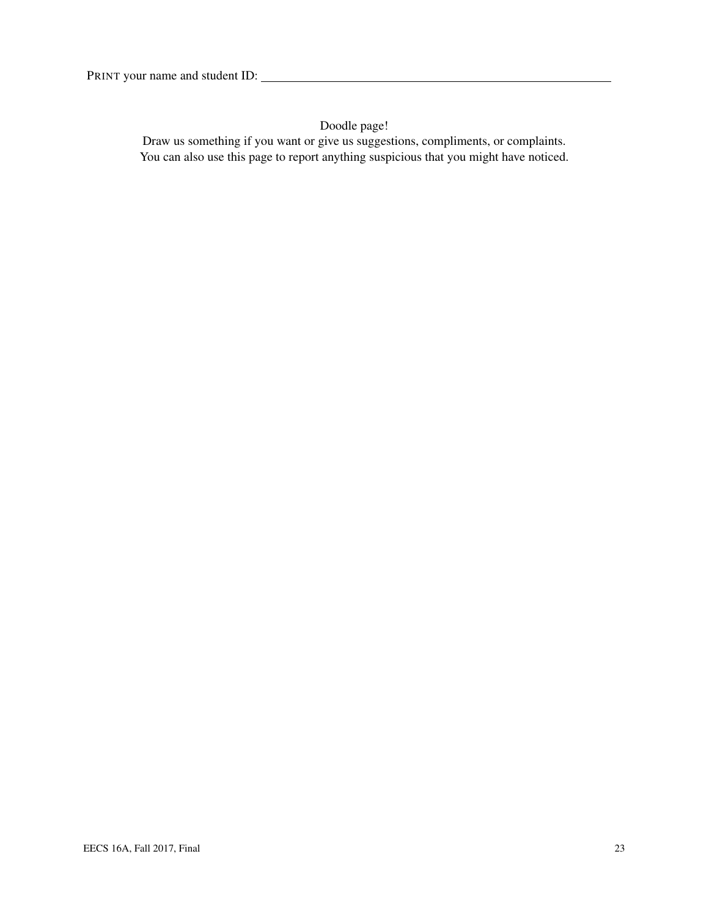Doodle page!

Draw us something if you want or give us suggestions, compliments, or complaints. You can also use this page to report anything suspicious that you might have noticed.